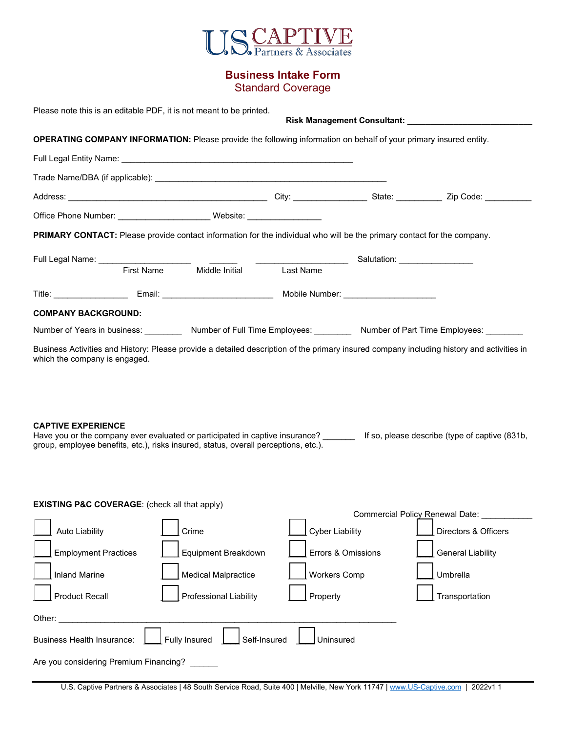

## **Business Intake Form**

Standard Coverage

| Please note this is an editable PDF, it is not meant to be printed.                                                                                                                                                                                  |                   |                                                                                                                          |                        |  |                                                                                                                         |  |  |  |  |  |
|------------------------------------------------------------------------------------------------------------------------------------------------------------------------------------------------------------------------------------------------------|-------------------|--------------------------------------------------------------------------------------------------------------------------|------------------------|--|-------------------------------------------------------------------------------------------------------------------------|--|--|--|--|--|
|                                                                                                                                                                                                                                                      |                   | <b>OPERATING COMPANY INFORMATION:</b> Please provide the following information on behalf of your primary insured entity. |                        |  |                                                                                                                         |  |  |  |  |  |
|                                                                                                                                                                                                                                                      |                   |                                                                                                                          |                        |  |                                                                                                                         |  |  |  |  |  |
|                                                                                                                                                                                                                                                      |                   |                                                                                                                          |                        |  |                                                                                                                         |  |  |  |  |  |
|                                                                                                                                                                                                                                                      |                   |                                                                                                                          |                        |  |                                                                                                                         |  |  |  |  |  |
|                                                                                                                                                                                                                                                      |                   | Office Phone Number: _________________________________Website: _________________                                         |                        |  |                                                                                                                         |  |  |  |  |  |
|                                                                                                                                                                                                                                                      |                   | PRIMARY CONTACT: Please provide contact information for the individual who will be the primary contact for the company.  |                        |  |                                                                                                                         |  |  |  |  |  |
|                                                                                                                                                                                                                                                      |                   |                                                                                                                          |                        |  |                                                                                                                         |  |  |  |  |  |
|                                                                                                                                                                                                                                                      | <b>First Name</b> | Middle Initial                                                                                                           | Last Name              |  |                                                                                                                         |  |  |  |  |  |
|                                                                                                                                                                                                                                                      |                   |                                                                                                                          |                        |  |                                                                                                                         |  |  |  |  |  |
| <b>COMPANY BACKGROUND:</b>                                                                                                                                                                                                                           |                   |                                                                                                                          |                        |  |                                                                                                                         |  |  |  |  |  |
|                                                                                                                                                                                                                                                      |                   |                                                                                                                          |                        |  | Number of Years in business: __________ Number of Full Time Employees: _________ Number of Part Time Employees: _______ |  |  |  |  |  |
| <b>CAPTIVE EXPERIENCE</b><br>Have you or the company ever evaluated or participated in captive insurance? [15] If so, please describe (type of captive (831b,<br>group, employee benefits, etc.), risks insured, status, overall perceptions, etc.). |                   |                                                                                                                          |                        |  |                                                                                                                         |  |  |  |  |  |
| <b>EXISTING P&amp;C COVERAGE:</b> (check all that apply)                                                                                                                                                                                             |                   |                                                                                                                          |                        |  | <b>Commercial Policy Renewal Date:</b>                                                                                  |  |  |  |  |  |
| <b>Auto Liability</b>                                                                                                                                                                                                                                |                   | Crime                                                                                                                    | <b>Cyber Liability</b> |  | Directors & Officers                                                                                                    |  |  |  |  |  |
| <b>Employment Practices</b>                                                                                                                                                                                                                          |                   | Equipment Breakdown                                                                                                      | Errors & Omissions     |  | <b>General Liability</b>                                                                                                |  |  |  |  |  |
| <b>Inland Marine</b>                                                                                                                                                                                                                                 |                   | <b>Medical Malpractice</b>                                                                                               | <b>Workers Comp</b>    |  | Umbrella                                                                                                                |  |  |  |  |  |
| <b>Product Recall</b>                                                                                                                                                                                                                                |                   | Professional Liability                                                                                                   | Property               |  | Transportation                                                                                                          |  |  |  |  |  |
| Other:                                                                                                                                                                                                                                               |                   |                                                                                                                          |                        |  |                                                                                                                         |  |  |  |  |  |
| <b>Business Health Insurance:</b>                                                                                                                                                                                                                    |                   | <b>Fully Insured</b><br>Self-Insured                                                                                     | Uninsured              |  |                                                                                                                         |  |  |  |  |  |
| Are you considering Premium Financing?                                                                                                                                                                                                               |                   |                                                                                                                          |                        |  |                                                                                                                         |  |  |  |  |  |

U.S. Captive Partners & Associates | 48 South Service Road, Suite 400 | Melville, New York 11747 | www.[US-Captive.com](http://www.US-Captive.com) | 2022v1 1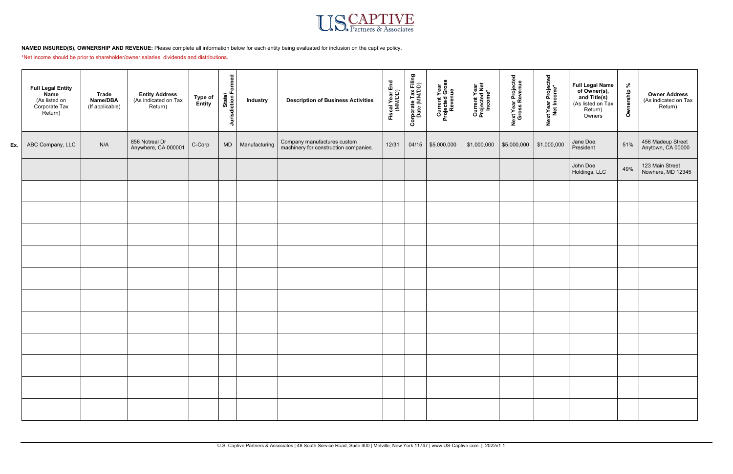

## **NAMED INSURED(S), OWNERSHIP AND REVENUE:** Please complete all information below for each entity being evaluated for inclusion on the captive policy.

\*Net income should be prior to shareholder/owner salaries, dividends and distributions.

|     | <b>Full Legal Entity</b><br><b>Name</b><br>(As listed on<br>Corporate Tax<br>Return) | <b>Trade</b><br>Name/DBA<br>(If applicable) | <b>Entity Address</b><br>(As indicated on Tax<br>Return) | Type of<br>Entity | State/<br>Jurisdiction Formed | <b>Industry</b> | <b>Description of Business Activities</b>                            | Fiscal Year End<br>(MM/DD) | Corporate Tax Filing<br>Date (MM/DD) | Current Year<br>Projected Gross<br>Revenue | Current Year<br>Projected Net<br>Income* | Next Year Projected<br>Gross Revenue | Next Year Projected<br>Net Income* | <b>Full Legal Name</b><br>of Owner(s),<br>and Title(s)<br>(As listed on Tax<br>Return)<br>Owners | % dius.<br>Owner | <b>Owner Address</b><br>(As indicated on Tax<br>Return) |
|-----|--------------------------------------------------------------------------------------|---------------------------------------------|----------------------------------------------------------|-------------------|-------------------------------|-----------------|----------------------------------------------------------------------|----------------------------|--------------------------------------|--------------------------------------------|------------------------------------------|--------------------------------------|------------------------------------|--------------------------------------------------------------------------------------------------|------------------|---------------------------------------------------------|
| Ex. | ABC Company, LLC                                                                     | N/A                                         | 856 Notreal Dr<br>Anywhere, CA 000001                    | C-Corp            | <b>MD</b>                     | Manufacturing   | Company manufactures custom<br>machinery for construction companies. | 12/31                      |                                      | 04/15 \$5,000,000                          | \$1,000,000                              | \$5,000,000                          | \$1,000,000                        | Jane Doe,<br>President                                                                           | 51%              | 456 Madeup Street<br>Anytown, CA 00000                  |
|     |                                                                                      |                                             |                                                          |                   |                               |                 |                                                                      |                            |                                      |                                            |                                          |                                      |                                    | John Doe<br>Holdings, LLC                                                                        | 49%              | 123 Main Street<br>Nowhere, MD 12345                    |
|     |                                                                                      |                                             |                                                          |                   |                               |                 |                                                                      |                            |                                      |                                            |                                          |                                      |                                    |                                                                                                  |                  |                                                         |
|     |                                                                                      |                                             |                                                          |                   |                               |                 |                                                                      |                            |                                      |                                            |                                          |                                      |                                    |                                                                                                  |                  |                                                         |
|     |                                                                                      |                                             |                                                          |                   |                               |                 |                                                                      |                            |                                      |                                            |                                          |                                      |                                    |                                                                                                  |                  |                                                         |
|     |                                                                                      |                                             |                                                          |                   |                               |                 |                                                                      |                            |                                      |                                            |                                          |                                      |                                    |                                                                                                  |                  |                                                         |
|     |                                                                                      |                                             |                                                          |                   |                               |                 |                                                                      |                            |                                      |                                            |                                          |                                      |                                    |                                                                                                  |                  |                                                         |
|     |                                                                                      |                                             |                                                          |                   |                               |                 |                                                                      |                            |                                      |                                            |                                          |                                      |                                    |                                                                                                  |                  |                                                         |
|     |                                                                                      |                                             |                                                          |                   |                               |                 |                                                                      |                            |                                      |                                            |                                          |                                      |                                    |                                                                                                  |                  |                                                         |
|     |                                                                                      |                                             |                                                          |                   |                               |                 |                                                                      |                            |                                      |                                            |                                          |                                      |                                    |                                                                                                  |                  |                                                         |
|     |                                                                                      |                                             |                                                          |                   |                               |                 |                                                                      |                            |                                      |                                            |                                          |                                      |                                    |                                                                                                  |                  |                                                         |
|     |                                                                                      |                                             |                                                          |                   |                               |                 |                                                                      |                            |                                      |                                            |                                          |                                      |                                    |                                                                                                  |                  |                                                         |
|     |                                                                                      |                                             |                                                          |                   |                               |                 |                                                                      |                            |                                      |                                            |                                          |                                      |                                    |                                                                                                  |                  |                                                         |